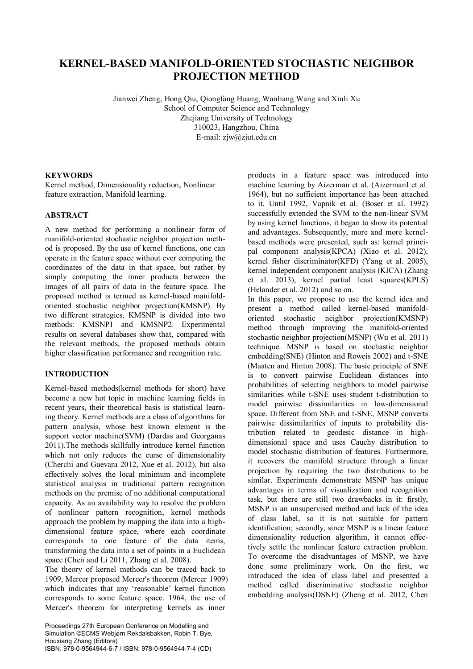# **KERNEL-BASED MANIFOLD-ORIENTED STOCHASTIC NEIGHBOR PROJECTION METHOD**

Jianwei Zheng, Hong Qiu, Qiongfang Huang, Wanliang Wang and Xinli Xu School of Computer Science and Technology Zhejiang University of Technology 310023, Hangzhou, China E-mail: zjw@zjut.edu.cn

# **KEYWORDS**

Kernel method, Dimensionality reduction, Nonlinear feature extraction, Manifold learning.

# **ABSTRACT**

A new method for performing a nonlinear form of manifold-oriented stochastic neighbor projection method is proposed. By the use of kernel functions, one can operate in the feature space without ever computing the coordinates of the data in that space, but rather by simply computing the inner products between the images of all pairs of data in the feature space. The proposed method is termed as kernel-based manifoldoriented stochastic neighbor projection(KMSNP). By two different strategies, KMSNP is divided into two methods: KMSNP1 and KMSNP2. Experimental results on several databases show that, compared with the relevant methods, the proposed methods obtain higher classification performance and recognition rate.

## **INTRODUCTION**

Kernel-based methods(kernel methods for short) have become a new hot topic in machine learning fields in recent years, their theoretical basis is statistical learning theory. Kernel methods are a class of algorithms for pattern analysis, whose best known element is the support vector machine(SVM) (Dardas and Georganas 2011).The methods skillfully introduce kernel function which not only reduces the curse of dimensionality (Cherchi and Guevara 2012, Xue et al. 2012), but also effectively solves the local minimum and incomplete statistical analysis in traditional pattern recognition methods on the premise of no additional computational capacity. As an availability way to resolve the problem of nonlinear pattern recognition, kernel methods approach the problem by mapping the data into a highdimensional feature space, where each coordinate corresponds to one feature of the data items, transforming the data into a set of points in a Euclidean space (Chen and Li 2011, Zhang et al. 2008).

The theory of kernel methods can be traced back to 1909, Mercer proposed Mercer's theorem (Mercer 1909) which indicates that any 'reasonable' kernel function corresponds to some feature space. 1964, the use of Mercer's theorem for interpreting kernels as inner

Proceedings 27th European Conference on Modelling and Simulation ©ECMS Webjørn Rekdalsbakken, Robin T. Bye, Houxiang Zhang (Editors) ISBN: 978-0-9564944-6-7 / ISBN: 978-0-9564944-7-4 (CD)

products in a feature space was introduced into machine learning by Aizerman et al. (AizermanI et al. 1964), but no sufficient importance has been attached to it. Until 1992, Vapnik et al. (Boser et al. 1992) successfully extended the SVM to the non-linear SVM by using kernel functions, it began to show its potential and advantages. Subsequently, more and more kernelbased methods were presented, such as: kernel principal component analysis(KPCA) (Xiao et al. 2012), kernel fisher discriminator(KFD) (Yang et al. 2005), kernel independent component analysis (KICA) (Zhang et al. 2013), kernel partial least squares(KPLS) (Helander et al. 2012) and so on.

In this paper, we propose to use the kernel idea and present a method called kernel-based manifoldoriented stochastic neighbor projection(KMSNP) method through improving the manifold-oriented stochastic neighbor projection(MSNP) (Wu et al. 2011) technique. MSNP is based on stochastic neighbor embedding(SNE) (Hinton and Roweis 2002) and t-SNE (Maaten and Hinton 2008). The basic principle of SNE is to convert pairwise Euclidean distances into probabilities of selecting neighbors to model pairwise similarities while t-SNE uses student t-distribution to model pairwise dissimilarities in low-dimensional space. Different from SNE and t-SNE, MSNP converts pairwise dissimilarities of inputs to probability distribution related to geodesic distance in highdimensional space and uses Cauchy distribution to model stochastic distribution of features. Furthermore, it recovers the manifold structure through a linear projection by requiring the two distributions to be similar. Experiments demonstrate MSNP has unique advantages in terms of visualization and recognition task, but there are still two drawbacks in it: firstly, MSNP is an unsupervised method and lack of the idea of class label, so it is not suitable for pattern identification; secondly, since MSNP is a linear feature dimensionality reduction algorithm, it cannot effectively settle the nonlinear feature extraction problem. To overcome the disadvantages of MSNP, we have done some preliminary work. On the first, we introduced the idea of class label and presented a method called discriminative stochastic neighbor embedding analysis(DSNE) (Zheng et al. 2012, Chen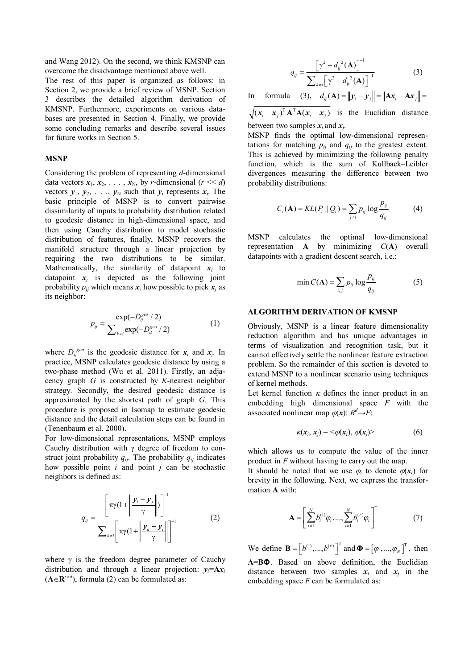and Wang 2012). On the second, we think KMSNP can overcome the disadvantage mentioned above well.

The rest of this paper is organized as follows: in Section 2, we provide a brief review of MSNP. Section 3 describes the detailed algorithm derivation of KMSNP. Furthermore, experiments on various databases are presented in Section 4. Finally, we provide some concluding remarks and describe several issues for future works in Section 5.

#### **MSNP**

Considering the problem of representing *d*-dimensional data vectors  $x_1, x_2, \ldots, x_N$ , by *r*-dimensional ( $r \ll d$ ) vectors  $y_1, y_2, \ldots, y_N$  such that  $y_i$  represents  $x_i$ . The basic principle of MSNP is to convert pairwise dissimilarity of inputs to probability distribution related to geodesic distance in high-dimensional space, and then using Cauchy distribution to model stochastic distribution of features, finally, MSNP recovers the manifold structure through a linear projection by requiring the two distributions to be similar. Mathematically, the similarity of datapoint  $x_i$  to datapoint  $x_j$  is depicted as the following joint probability  $p_{ij}$  which means  $x_i$  how possible to pick  $x_j$  as its neighbor:

$$
p_{ij} = \frac{\exp(-D_{ij}^{geo} / 2)}{\sum_{k \neq i} \exp(-D_{ik}^{geo} / 2)}
$$
(1)

where  $D_{ij}^{geo}$  is the geodesic distance for  $x_i$  and  $x_j$ . In practice, MSNP calculates geodesic distance by using a two-phase method (Wu et al. 2011). Firstly, an adjacency graph *G* is constructed by *K*-nearest neighbor strategy. Secondly, the desired geodesic distance is approximated by the shortest path of graph *G*. This procedure is proposed in Isomap to estimate geodesic distance and the detail calculation steps can be found in (Tenenbaum et al. 2000).

For low-dimensional representations, MSNP employs Cauchy distribution with  $\gamma$  degree of freedom to construct joint probability  $q_{ij}$ . The probability  $q_{ij}$  indicates how possible point *i* and point *j* can be stochastic neighbors is defined as:

$$
q_{ij} = \frac{\left[\pi \gamma (1 + \left\| \frac{\mathbf{y}_i - \mathbf{y}_j}{\gamma} \right\| \right)^{-1}}{\sum_{k \neq i} \left[\pi \gamma (1 + \left\| \frac{\mathbf{y}_k - \mathbf{y}_i}{\gamma} \right\| \right]^{-1}}
$$
(2)

where  $\gamma$  is the freedom degree parameter of Cauchy distribution and through a linear projection:  $y_i = Ax_i$  $(A \in \mathbb{R}^{r \times d})$ , formula (2) can be formulated as:

$$
q_{ij} = \frac{\left[\gamma^2 + d_{ij}^2(\mathbf{A})\right]^{-1}}{\sum_{k \neq i} \left[\gamma^2 + d_{ij}^2(\mathbf{A})\right]^{-1}}
$$
(3)

In formula (3), 
$$
d_{ij}(\mathbf{A}) = ||\mathbf{y}_i - \mathbf{y}_j|| = ||\mathbf{A}\mathbf{x}_i - \mathbf{A}\mathbf{x}_j|| =
$$

 $((x_i - x_j)^T A^T A (x_i - x_j))$  is the Euclidian distance between two samples  $x_i$  and  $x_j$ .

MSNP finds the optimal low-dimensional representations for matching  $p_{ij}$  and  $q_{ij}$  to the greatest extent. This is achieved by minimizing the following penalty function, which is the sum of Kullback–Leibler divergences measuring the difference between two probability distributions:

$$
C_i(\mathbf{A}) = KL(P_i || Q_i) = \sum_{j \neq i} p_{ij} \log \frac{p_{ij}}{q_{ij}} \tag{4}
$$

MSNP calculates the optimal low-dimensional representation **A** by minimizing *C*(**A**) overall datapoints with a gradient descent search, i.e.:

$$
\min C(\mathbf{A}) = \sum_{i,j} p_{ij} \log \frac{p_{ij}}{q_{ij}} \tag{5}
$$

#### **ALGORITHM DERIVATION OF KMSNP**

Obviously, MSNP is a linear feature dimensionality reduction algorithm and has unique advantages in terms of visualization and recognition task, but it cannot effectively settle the nonlinear feature extraction problem. So the remainder of this section is devoted to extend MSNP to a nonlinear scenario using techniques of kernel methods.

Let kernel function  $\kappa$  defines the inner product in an embedding high dimensional space *F* with the associated nonlinear map  $\varphi(x)$ :  $R^d \rightarrow F$ :

$$
\kappa(\mathbf{x}_i, \mathbf{x}_j) = \langle \varphi(\mathbf{x}_i), \varphi(\mathbf{x}_j) \rangle \tag{6}
$$

which allows us to compute the value of the inner product in *F* without having to carry out the map.

It should be noted that we use  $\varphi_i$  to denote  $\varphi(\mathbf{x}_i)$  for brevity in the following. Next, we express the transformation **A** with:

$$
\mathbf{A} = \left[ \sum_{i=1}^{N} b_i^{(1)} \varphi_i, ..., \sum_{i=1}^{N} b_i^{(r)} \varphi_i \right]^{\mathrm{T}}
$$
(7)

We define **B** =  $[b^{(1)}, ..., b^{(r)}]$ <sup>T</sup> and  $\Phi$  =  $[\varphi_1, ..., \varphi_N]$ <sup>T</sup>  $\mathbf{\Phi} = [\varphi_1, ..., \varphi_N]^T$ , then **A**=**B**. Based on above definition, the Euclidian distance between two samples  $x_i$  and  $x_j$  in the embedding space *F* can be formulated as: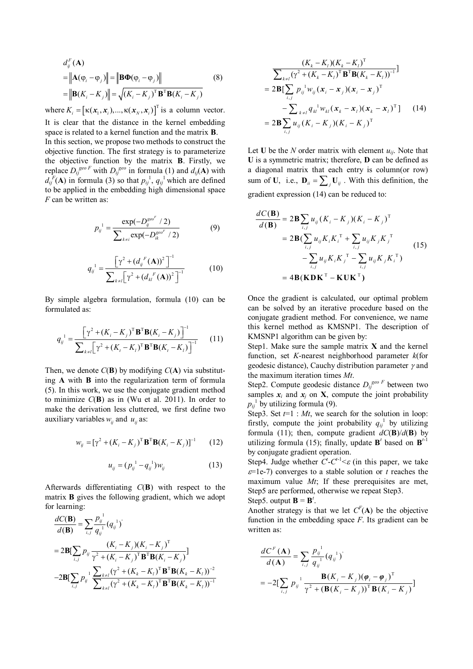$$
d_j^F(\mathbf{A})
$$
  
=  $\|\mathbf{A}(\varphi_i - \varphi_j)\|$  =  $\|\mathbf{B}\mathbf{\Phi}(\varphi_i - \varphi_j)\|$  (8)  
=  $\|\mathbf{B}(K_i - K_j)\|$  =  $\sqrt{(K_i - K_j)^T \mathbf{B}^T \mathbf{B}(K_i - K_j)}$ 

where  $K_i = [\kappa(\mathbf{x}_1, \mathbf{x}_i), ..., \kappa(\mathbf{x}_N, \mathbf{x}_i)]^T$  $K_i = [\kappa(\mathbf{x}_1, \mathbf{x}_i), ..., \kappa(\mathbf{x}_N, \mathbf{x}_i)]^T$  is a column vector. It is clear that the distance in the kernel embedding space is related to a kernel function and the matrix **B**. In this section, we propose two methods to construct the objective function. The first strategy is to parameterize the objective function by the matrix **B**. Firstly, we replace  $D_{ij}^{geo F}$  with  $D_{ij}^{geo}$  in formula (1) and  $d_{ij}$ (**A**) with  $d_{ij}^{F}$ (**A**) in formula (3) so that  $p_{ij}^{1}$ ,  $q_{ij}^{1}$  which are defined to be applied in the embedding high dimensional space *F* can be written as:

$$
p_{ij}^{1} = \frac{\exp(-D_{ij}^{geo^{F}} / 2)}{\sum_{k \neq i} \exp(-D_{ik}^{geo^{F}} / 2)}
$$
(9)

$$
q_{ij}^{1} = \frac{\left[\gamma^{2} + (d_{ij}^{F}(\mathbf{A}))^{2}\right]^{-1}}{\sum_{k \neq i} \left[\gamma^{2} + (d_{kl}^{F}(\mathbf{A}))^{2}\right]^{-1}}
$$
(10)

By simple algebra formulation, formula (10) can be formulated as:

$$
q_{ij}^{1} = \frac{\left[\gamma^{2} + (K_{i} - K_{j})^{T} \mathbf{B}^{T} \mathbf{B}(K_{i} - K_{j})\right]^{-1}}{\sum_{k \neq i} \left[\gamma^{2} + (K_{i} - K_{i})^{T} \mathbf{B}^{T} \mathbf{B}(K_{i} - K_{i})\right]^{-1}}
$$
(11)

Then, we denote  $C(\mathbf{B})$  by modifying  $C(\mathbf{A})$  via substituting **A** with **B** into the regularization term of formula (5). In this work, we use the conjugate gradient method to minimize *C*(**B**) as in (Wu et al. 2011). In order to make the derivation less cluttered, we first define two auxiliary variables  $w_i$  and  $u_i$  as:

$$
w_{ij} = [\gamma^{2} + (K_{i} - K_{j})^{\mathrm{T}} \mathbf{B}^{\mathrm{T}} \mathbf{B} (K_{i} - K_{j})]^{-1}
$$
 (12)

$$
u_{ij} = (p_{ij}^{1} - q_{ij}^{1})w_{ij}
$$
 (13)

Afterwards differentiating *C*(**B**) with respect to the matrix **B** gives the following gradient, which we adopt for learning:

$$
\frac{dC(\mathbf{B})}{d(\mathbf{B})} = \sum_{i,j} \frac{p_{ij}^{1}}{q_{ij}^{1}} (q_{ij}^{1})^{i}
$$
\n
$$
= 2\mathbf{B}[\sum_{i,j} p_{ij} \frac{(K_i - K_j)(K_i - K_j)^{\mathrm{T}}}{\gamma^2 + (K_i - K_j)^{\mathrm{T}} \mathbf{B}^{\mathrm{T}} \mathbf{B} (K_i - K_j)}] - 2\mathbf{B}[\sum_{i,j} p_{ij}^{1} \frac{\sum_{k \neq l} (\gamma^2 + (K_k - K_l)^{\mathrm{T}} \mathbf{B}^{\mathrm{T}} \mathbf{B} (K_k - K_l))^{-2}}{\sum_{k \neq l} (\gamma^2 + (K_k - K_l)^{\mathrm{T}} \mathbf{B}^{\mathrm{T}} \mathbf{B} (K_k - K_l))^{-1}}
$$

$$
\frac{(K_{k} - K_{l})(K_{k} - K_{l})^{\mathrm{T}}}{\sum_{k \neq l} (\gamma^{2} + (K_{k} - K_{l})^{\mathrm{T}} \mathbf{B}^{\mathrm{T}} \mathbf{B}(K_{k} - K_{l}))^{-1}}]
$$
\n
$$
= 2\mathbf{B}[\sum_{i,j} p_{ij}^{\mathrm{T}} w_{ij} (\mathbf{x}_{i} - \mathbf{x}_{j})(\mathbf{x}_{i} - \mathbf{x}_{j})^{\mathrm{T}} - \sum_{k \neq l} q_{ki}^{\mathrm{T}} w_{ki} (\mathbf{x}_{k} - \mathbf{x}_{l})(\mathbf{x}_{k} - \mathbf{x}_{l})^{\mathrm{T}}] \qquad (14)
$$
\n
$$
= 2\mathbf{B} \sum_{i,j} u_{ij} (K_{i} - K_{j})(K_{i} - K_{j})^{\mathrm{T}}
$$

Let **U** be the *N* order matrix with element  $u_{ij}$ . Note that **U** is a symmetric matrix; therefore, **D** can be defined as a diagonal matrix that each entry is column(or row) sum of **U**, i.e.,  $\mathbf{D}_{ii} = \sum_j \mathbf{U}_{ij}$ . With this definition, the gradient expression (14) can be reduced to:

$$
\frac{dC(\mathbf{B})}{d(\mathbf{B})} = 2\mathbf{B} \sum_{i,j} u_{ij} (K_i - K_j) (K_i - K_j)^{\mathrm{T}}
$$
  
= 2 $\mathbf{B} (\sum_{i,j} u_{ij} K_i K_i^{\mathrm{T}} + \sum_{i,j} u_{ij} K_j K_j^{\mathrm{T}} - \sum_{i,j} u_{ij} K_j K_i^{\mathrm{T}}) - \sum_{i,j} u_{ij} K_i K_j^{\mathrm{T}} - \mathbf{K} \mathbf{U} \mathbf{K}^{\mathrm{T}})$  (15)  
= 4 $\mathbf{B} (\mathbf{K} \mathbf{D} \mathbf{K}^{\mathrm{T}} - \mathbf{K} \mathbf{U} \mathbf{K}^{\mathrm{T}})$ 

Once the gradient is calculated, our optimal problem can be solved by an iterative procedure based on the conjugate gradient method. For convenience, we name this kernel method as KMSNP1. The description of KMSNP1 algorithm can be given by:

Step1. Make sure the sample matrix **X** and the kernel function, set *K*-nearest neighborhood parameter *k*(for geodesic distance), Cauchy distribution parameter  $\gamma$  and the maximum iteration times *Mt*.

Step2. Compute geodesic distance  $D_{ij}^{geo \ F}$  between two samples  $x_i$  and  $x_j$  on **X**, compute the joint probability  $p_{ij}$ <sup>1</sup> by utilizing formula (9).

Step3. Set  $t=1$ : *Mt*, we search for the solution in loop: firstly, compute the joint probability  $q_{ij}$ <sup>1</sup> by utilizing formula (11); then, compute gradient  $dC(\mathbf{B})/d(\mathbf{B})$  by utilizing formula (15); finally, update  $\mathbf{B}^t$  based on  $\mathbf{B}^{t-1}$ by conjugate gradient operation.

Step4. Judge whether  $C^t$ - $C^{t-1}$   $\leq \varepsilon$  (in this paper, we take  $\varepsilon$ =1e-7) converges to a stable solution or *t* reaches the maximum value *Mt*; If these prerequisites are met, Step5 are performed, otherwise we repeat Step3. Step5. output  $\mathbf{B} = \mathbf{B}^t$ .

Another strategy is that we let  $C^F(A)$  be the objective function in the embedding space *F*. Its gradient can be written as:

$$
\frac{dC^{F}(\mathbf{A})}{d(\mathbf{A})} = \sum_{i,j} \frac{p_{ij}^{1}}{q_{ij}^{1}} (q_{ij}^{1})^{'} \\
= -2[\sum_{i,j} p_{ij}^{1} \frac{\mathbf{B}(K_{i} - K_{j})(\boldsymbol{\varphi}_{i} - \boldsymbol{\varphi}_{j})^{T}}{\gamma^{2} + (\mathbf{B}(K_{i} - K_{j}))^{T} \mathbf{B}(K_{i} - K_{j})}]
$$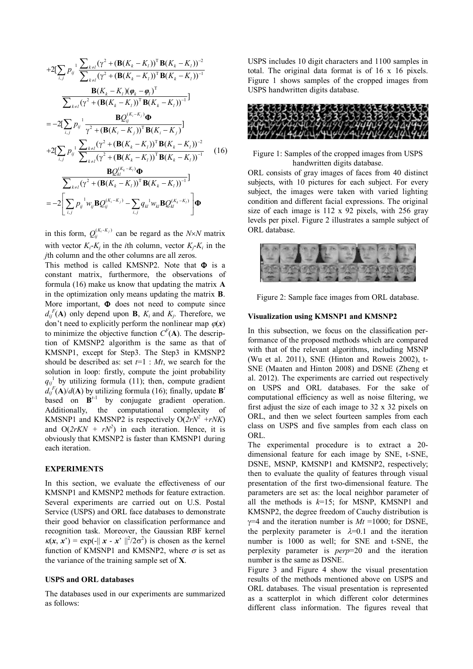+2[
$$
\sum_{i,j} p_j \frac{\sum_{k\neq i} (\gamma^2 + (\mathbf{B}(K_k - K_i))^T \mathbf{B}(K_k - K_i))^2}{\sum_{k\neq i} (\gamma^2 + (\mathbf{B}(K_k - K_i))^T \mathbf{B}(K_k - K_i))^{-1}}\n  
\n\frac{\mathbf{B}(K_k - K_i)(\varphi_k - \varphi_i)^T}{\sum_{k\neq i} (\gamma^2 + (\mathbf{B}(K_k - K_i))^T \mathbf{B}(K_k - K_i))^{-1}}]\n  
\n= -2[\sum_{i,j} p_j \frac{\mathbf{B}Q_{ij}^{(K_i - K_j)}}{\gamma^2 + (\mathbf{B}(K_i - K_j))^T \mathbf{B}(K_i - K_j)^{-1}}]\n  
\n+2[\sum_{i,j} p_j \frac{\sum_{k\neq i} (\gamma^2 + (\mathbf{B}(K_k - K_i))^T \mathbf{B}(K_k - K_i))^2}{\sum_{k\neq i} (\gamma^2 + (\mathbf{B}(K_k - K_i))^T \mathbf{B}(K_k - K_i))^{-1}}\n  
\n\frac{\mathbf{B}Q_{kl}^{(K_k - K_i)}\mathbf{\Phi}}{\sum_{k\neq i} (\gamma^2 + (\mathbf{B}(K_k - K_i))^T \mathbf{B}(K_k - K_i))^{-1}}] \n  
\n= -2[\sum_{i,j} p_j \frac{\mathbf{W}_{ij} \mathbf{B}Q_{ij}^{(K_i - K_j)}}{\sum_{k\neq j} (\gamma^2 + (\mathbf{B}(K_k - K_i))^T \mathbf{B}(K_k - K_i))^{-1}}]\n  
\n= -2[\sum_{i,j} p_j \frac{\mathbf{W}_{ij} \mathbf{B}Q_{ij}^{(K_i - K_j)}}{\sum_{k\neq j} (\gamma^2 + (\mathbf{B}(K_k - K_i))^T \mathbf{B}(K_k - K_i))^{-1}}]\n  
\n(16)
$$

in this form,  $Q_i^{(K_i-K_j)}$  can be regard as the *N*×*N* matrix with vector  $K_i$ - $K_j$  in the *i*th column, vector  $K_j$ - $K_i$  in the *j*th column and the other columns are all zeros.

This method is called KMSNP2. Note that  $\Phi$  is a constant matrix, furthermore, the observations of formula (16) make us know that updating the matrix **A** in the optimization only means updating the matrix **B**. More important,  $\Phi$  does not need to compute since  $d_{ij}^{F}(A)$  only depend upon **B**,  $K_i$  and  $K_j$ . Therefore, we don't need to explicitly perform the nonlinear map  $\varphi(x)$ to minimize the objective function  $C^F(A)$ . The description of KMSNP2 algorithm is the same as that of KMSNP1, except for Step3. The Step3 in KMSNP2 should be described as: set *t*=1 : *Mt*, we search for the solution in loop: firstly, compute the joint probability  $q_{ij}$ <sup>1</sup> by utilizing formula (11); then, compute gradient  $d_{ij}^{F}(A)/d(A)$  by utilizing formula (16); finally, update **B**<sup>*t*</sup> based on  $B<sup>t-1</sup>$  by conjugate gradient operation. Additionally, the computational complexity of KMSNP1 and KMSNP2 is respectively  $O(2rN^2 + rNK)$ and  $O(2rKN + rN^2)$  in each iteration. Hence, it is obviously that KMSNP2 is faster than KMSNP1 during each iteration.

#### **EXPERIMENTS**

In this section, we evaluate the effectiveness of our KMSNP1 and KMSNP2 methods for feature extraction. Several experiments are carried out on U.S. Postal Service (USPS) and ORL face databases to demonstrate their good behavior on classification performance and recognition task. Moreover, the Gaussian RBF kernel  $\kappa(x, x') = \exp(-||x - x'||^2/2\sigma^2)$  is chosen as the kernel function of KMSNP1 and KMSNP2, where  $\sigma$  is set as the variance of the training sample set of **X**.

## **USPS and ORL databases**

The databases used in our experiments are summarized as follows:

USPS includes 10 digit characters and 1100 samples in total. The original data format is of 16 x 16 pixels. Figure 1 shows samples of the cropped images from USPS handwritten digits database.



Figure 1: Samples of the cropped images from USPS handwritten digits database.

ORL consists of gray images of faces from 40 distinct subjects, with 10 pictures for each subject. For every subject, the images were taken with varied lighting condition and different facial expressions. The original size of each image is 112 x 92 pixels, with 256 gray levels per pixel. Figure 2 illustrates a sample subject of ORL database.



Figure 2: Sample face images from ORL database.

### **Visualization using KMSNP1 and KMSNP2**

In this subsection, we focus on the classification performance of the proposed methods which are compared with that of the relevant algorithms, including MSNP (Wu et al. 2011), SNE (Hinton and Roweis 2002), t-SNE (Maaten and Hinton 2008) and DSNE (Zheng et al. 2012). The experiments are carried out respectively on USPS and ORL databases. For the sake of computational efficiency as well as noise filtering, we first adjust the size of each image to 32 x 32 pixels on ORL, and then we select fourteen samples from each class on USPS and five samples from each class on ORL.

The experimental procedure is to extract a 20 dimensional feature for each image by SNE, t-SNE, DSNE, MSNP, KMSNP1 and KMSNP2, respectively; then to evaluate the quality of features through visual presentation of the first two-dimensional feature. The parameters are set as: the local neighbor parameter of all the methods is *k*=15; for MSNP, KMSNP1 and KMSNP2, the degree freedom of Cauchy distribution is  $\gamma=4$  and the iteration number is  $Mt = 1000$ ; for DSNE, the perplexity parameter is  $\lambda=0.1$  and the iteration number is 1000 as well; for SNE and t-SNE, the perplexity parameter is *perp*=20 and the iteration number is the same as DSNE.

Figure 3 and Figure 4 show the visual presentation results of the methods mentioned above on USPS and ORL databases. The visual presentation is represented as a scatterplot in which different color determines different class information. The figures reveal that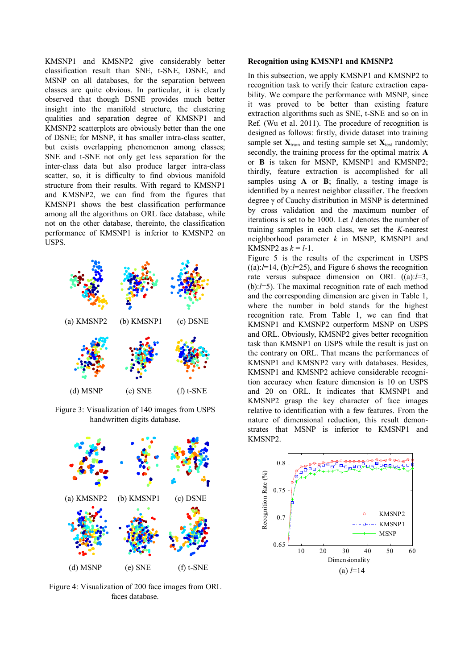KMSNP1 and KMSNP2 give considerably better classification result than SNE, t-SNE, DSNE, and MSNP on all databases, for the separation between classes are quite obvious. In particular, it is clearly observed that though DSNE provides much better insight into the manifold structure, the clustering qualities and separation degree of KMSNP1 and KMSNP2 scatterplots are obviously better than the one of DSNE; for MSNP, it has smaller intra-class scatter, but exists overlapping phenomenon among classes; SNE and t-SNE not only get less separation for the inter-class data but also produce larger intra-class scatter, so, it is difficulty to find obvious manifold structure from their results. With regard to KMSNP1 and KMSNP2, we can find from the figures that KMSNP1 shows the best classification performance among all the algorithms on ORL face database, while not on the other database, thereinto, the classification performance of KMSNP1 is inferior to KMSNP2 on USPS.



Figure 3: Visualization of 140 images from USPS handwritten digits database.



Figure 4: Visualization of 200 face images from ORL faces database.

#### **Recognition using KMSNP1 and KMSNP2**

In this subsection, we apply KMSNP1 and KMSNP2 to recognition task to verify their feature extraction capability. We compare the performance with MSNP, since it was proved to be better than existing feature extraction algorithms such as SNE, t-SNE and so on in Ref. (Wu et al. 2011). The procedure of recognition is designed as follows: firstly, divide dataset into training sample set  $X_{train}$  and testing sample set  $X_{test}$  randomly; secondly, the training process for the optimal matrix **A**  or **B** is taken for MSNP, KMSNP1 and KMSNP2; thirdly, feature extraction is accomplished for all samples using **A** or **B**; finally, a testing image is identified by a nearest neighbor classifier. The freedom degree  $\gamma$  of Cauchy distribution in MSNP is determined by cross validation and the maximum number of iterations is set to be 1000. Let *l* denotes the number of training samples in each class, we set the *K*-nearest neighborhood parameter *k* in MSNP, KMSNP1 and KMSNP2 as  $k = l-1$ .

Figure 5 is the results of the experiment in USPS  $((a):I=14, (b):I=25)$ , and Figure 6 shows the recognition rate versus subspace dimension on ORL ((a):*l*=3, (b):*l*=5). The maximal recognition rate of each method and the corresponding dimension are given in Table 1, where the number in bold stands for the highest recognition rate. From Table 1, we can find that KMSNP1 and KMSNP2 outperform MSNP on USPS and ORL. Obviously, KMSNP2 gives better recognition task than KMSNP1 on USPS while the result is just on the contrary on ORL. That means the performances of KMSNP1 and KMSNP2 vary with databases. Besides, KMSNP1 and KMSNP2 achieve considerable recognition accuracy when feature dimension is 10 on USPS and 20 on ORL. It indicates that KMSNP1 and KMSNP2 grasp the key character of face images relative to identification with a few features. From the nature of dimensional reduction, this result demonstrates that MSNP is inferior to KMSNP1 and KMSNP2.

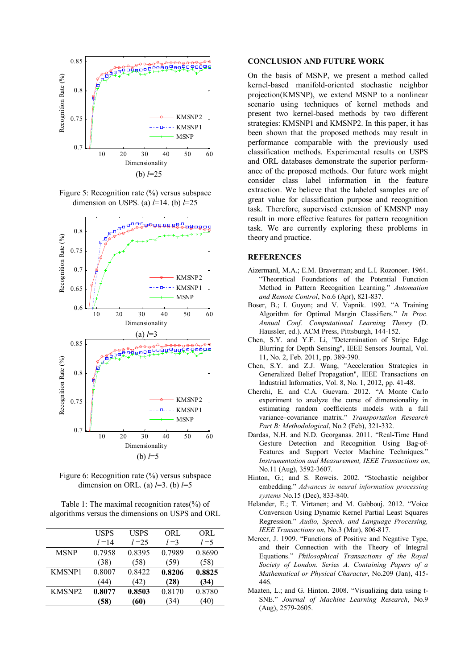

Figure 5: Recognition rate (%) versus subspace dimension on USPS. (a) *l*=14. (b) *l*=25



Figure 6: Recognition rate (%) versus subspace dimension on ORL. (a) *l*=3. (b) *l*=5

Table 1: The maximal recognition rates(%) of algorithms versus the dimensions on USPS and ORL

|               | USPS     | <b>USPS</b> | ORL     | ORL     |
|---------------|----------|-------------|---------|---------|
|               | $l = 14$ | $l = 25$    | $l = 3$ | $l = 5$ |
| <b>MSNP</b>   | 0.7958   | 0.8395      | 0.7989  | 0.8690  |
|               | (38)     | (58)        | (59)    | (58)    |
| <b>KMSNP1</b> | 0.8007   | 0.8422      | 0.8206  | 0.8825  |
|               | (44)     | (42)        | (28)    | (34)    |
| <b>KMSNP2</b> | 0.8077   | 0.8503      | 0.8170  | 0.8780  |
|               | (58)     | (60)        | 34)     | 40)     |
|               |          |             |         |         |

#### **CONCLUSION AND FUTURE WORK**

On the basis of MSNP, we present a method called kernel-based manifold-oriented stochastic neighbor projection(KMSNP), we extend MSNP to a nonlinear scenario using techniques of kernel methods and present two kernel-based methods by two different strategies: KMSNP1 and KMSNP2. In this paper, it has been shown that the proposed methods may result in performance comparable with the previously used classification methods. Experimental results on USPS and ORL databases demonstrate the superior performance of the proposed methods. Our future work might consider class label information in the feature extraction. We believe that the labeled samples are of great value for classification purpose and recognition task. Therefore, supervised extension of KMSNP may result in more effective features for pattern recognition task. We are currently exploring these problems in theory and practice.

# **REFERENCES**

- AizermanI, M.A.; E.M. Braverman; and L.I. Rozonoer. 1964. "Theoretical Foundations of the Potential Function Method in Pattern Recognition Learning." *Automation and Remote Control*, No.6 (Apr), 821-837.
- Boser, B.; I. Guyon; and V. Vapnik. 1992. "A Training Algorithm for Optimal Margin Classifiers." *In Proc. Annual Conf. Computational Learning Theory* (D. Haussler, ed.). ACM Press, Pittsburgh, 144-152.
- Chen, S.Y. and Y.F. Li, "Determination of Stripe Edge Blurring for Depth Sensing", IEEE Sensors Journal, Vol. 11, No. 2, Feb. 2011, pp. 389-390.
- Chen, S.Y. and Z.J. Wang, "Acceleration Strategies in Generalized Belief Propagation", IEEE Transactions on Industrial Informatics, Vol. 8, No. 1, 2012, pp. 41-48.
- Cherchi, E. and C.A. Guevara. 2012. "A Monte Carlo experiment to analyze the curse of dimensionality in estimating random coefficients models with a full variance–covariance matrix." *Transportation Research Part B: Methodological*, No.2 (Feb), 321-332.
- Dardas, N.H. and N.D. Georganas. 2011. "Real-Time Hand Gesture Detection and Recognition Using Bag-of-Features and Support Vector Machine Techniques." *Instrumentation and Measurement, IEEE Transactions on*, No.11 (Aug), 3592-3607.
- Hinton, G.; and S. Roweis. 2002. "Stochastic neighbor embedding." *Advances in neural information processing systems* No.15 (Dec), 833-840.
- Helander, E.; T. Virtanen; and M. Gabbouj. 2012. "Voice Conversion Using Dynamic Kernel Partial Least Squares Regression." *Audio, Speech, and Language Processing, IEEE Transactions on*, No.3 (Mar), 806-817.
- Mercer, J. 1909. "Functions of Positive and Negative Type, and their Connection with the Theory of Integral Equations." *Philosophical Transactions of the Royal Society of London. Series A. Containing Papers of a Mathematical or Physical Character*, No.209 (Jan), 415- 446.
- Maaten, L.; and G. Hinton. 2008. "Visualizing data using t-SNE." *Journal of Machine Learning Research*, No.9 (Aug), 2579-2605.